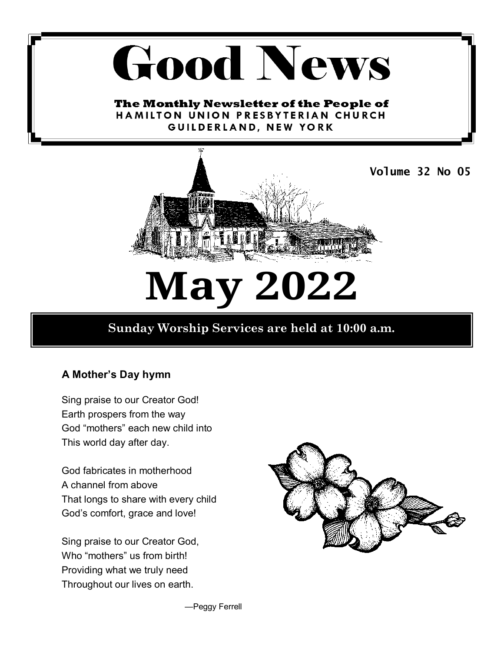# **Good News**

The Monthly Newsletter of the People of HAMILTON UNION PRESBYTERIAN CHURCH GUILDERLAND, NEW YORK



**May 2022**

# **Sunday Worship Services are held at 10:00 a.m.**

## **A Mother's Day hymn**

Sing praise to our Creator God! Earth prospers from the way God "mothers" each new child into This world day after day.

God fabricates in motherhood A channel from above That longs to share with every child God's comfort, grace and love!

Sing praise to our Creator God, Who "mothers" us from birth! Providing what we truly need Throughout our lives on earth.



—Peggy Ferrell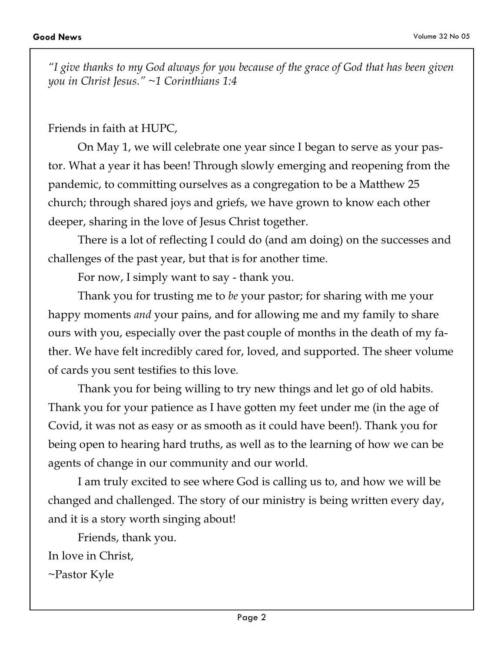*"I give thanks to my God always for you because of the grace of God that has been given you in Christ Jesus." ~1 Corinthians 1:4* 

#### Friends in faith at HUPC,

On May 1, we will celebrate one year since I began to serve as your pastor. What a year it has been! Through slowly emerging and reopening from the pandemic, to committing ourselves as a congregation to be a Matthew 25 church; through shared joys and griefs, we have grown to know each other deeper, sharing in the love of Jesus Christ together.

There is a lot of reflecting I could do (and am doing) on the successes and challenges of the past year, but that is for another time.

For now, I simply want to say - thank you.

Thank you for trusting me to *be* your pastor; for sharing with me your happy moments *and* your pains, and for allowing me and my family to share ours with you, especially over the past couple of months in the death of my father. We have felt incredibly cared for, loved, and supported. The sheer volume of cards you sent testifies to this love.

Thank you for being willing to try new things and let go of old habits. Thank you for your patience as I have gotten my feet under me (in the age of Covid, it was not as easy or as smooth as it could have been!). Thank you for being open to hearing hard truths, as well as to the learning of how we can be agents of change in our community and our world.

I am truly excited to see where God is calling us to, and how we will be changed and challenged. The story of our ministry is being written every day, and it is a story worth singing about!

Friends, thank you.

In love in Christ,

~Pastor Kyle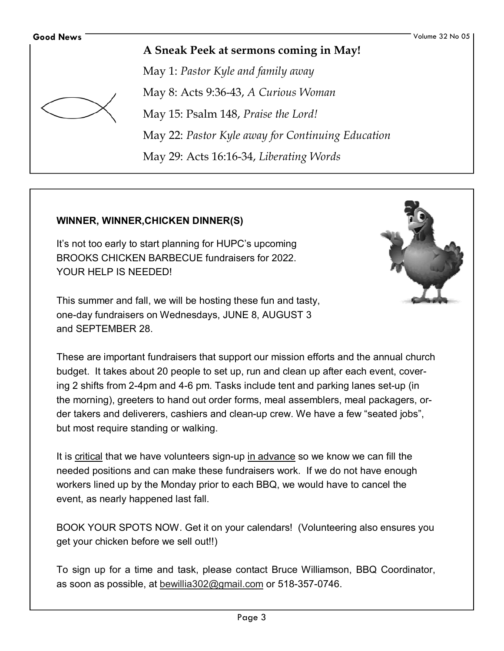

**A Sneak Peek at sermons coming in May!** 

May 1: *Pastor Kyle and family away*  May 8: Acts 9:36-43, *A Curious Woman*  May 15: Psalm 148, *Praise the Lord!*  May 22: *Pastor Kyle away for Continuing Education*  May 29: Acts 16:16-34, *Liberating Words* 

#### **WINNER, WINNER,CHICKEN DINNER(S)**

It's not too early to start planning for HUPC's upcoming BROOKS CHICKEN BARBECUE fundraisers for 2022. YOUR HELP IS NEEDED!



This summer and fall, we will be hosting these fun and tasty, one-day fundraisers on Wednesdays, JUNE 8, AUGUST 3 and SEPTEMBER 28.

These are important fundraisers that support our mission efforts and the annual church budget. It takes about 20 people to set up, run and clean up after each event, covering 2 shifts from 2-4pm and 4-6 pm. Tasks include tent and parking lanes set-up (in the morning), greeters to hand out order forms, meal assemblers, meal packagers, order takers and deliverers, cashiers and clean-up crew. We have a few "seated jobs", but most require standing or walking.

It is critical that we have volunteers sign-up in advance so we know we can fill the needed positions and can make these fundraisers work. If we do not have enough workers lined up by the Monday prior to each BBQ, we would have to cancel the event, as nearly happened last fall.

BOOK YOUR SPOTS NOW. Get it on your calendars! (Volunteering also ensures you get your chicken before we sell out!!)

To sign up for a time and task, please contact Bruce Williamson, BBQ Coordinator, as soon as possible, at bewillia302@gmail.com or 518-357-0746.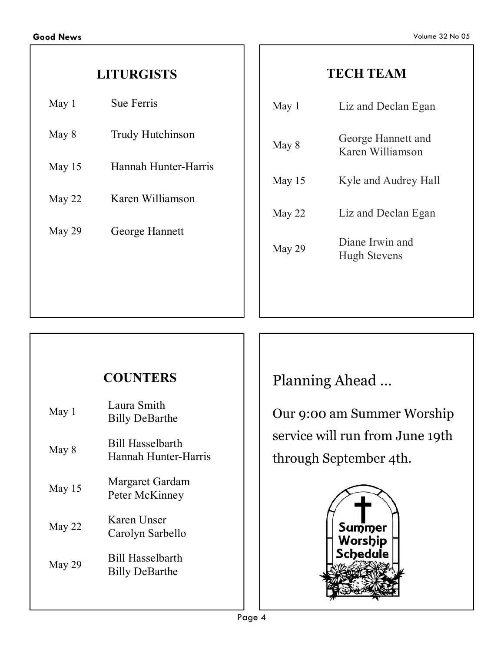# **LITURGISTS**

| May 1  | <b>Sue Ferris</b>    |  |  |  |
|--------|----------------------|--|--|--|
| May 8  | Trudy Hutchinson     |  |  |  |
| May 15 | Hannah Hunter-Harris |  |  |  |
| May 22 | Karen Williamson     |  |  |  |
| May 29 | George Hannett       |  |  |  |
|        |                      |  |  |  |
|        |                      |  |  |  |

# **TECH TEAM**

| May 1    | Liz and Declan Egan                    |  |  |  |
|----------|----------------------------------------|--|--|--|
| May 8    | George Hannett and<br>Karen Williamson |  |  |  |
| May $15$ | Kyle and Audrey Hall                   |  |  |  |
| May 22   | Liz and Declan Egan                    |  |  |  |
| May 29   | Diane Irwin and<br><b>Hugh Stevens</b> |  |  |  |
|          |                                        |  |  |  |

# **COUNTERS**

| May 1    | Laura Smith<br><b>Billy DeBarthe</b>             |  |  |  |  |
|----------|--------------------------------------------------|--|--|--|--|
| May 8    | <b>Bill Hasselbarth</b><br>Hannah Hunter-Harris  |  |  |  |  |
| May $15$ | Margaret Gardam<br>Peter McKinney                |  |  |  |  |
| May 22   | Karen Unser<br>Carolyn Sarbello                  |  |  |  |  |
| May 29   | <b>Bill Hasselbarth</b><br><b>Billy DeBarthe</b> |  |  |  |  |
|          |                                                  |  |  |  |  |

Planning Ahead …

Our 9:00 am Summer Worship service will run from June 19th through September 4th.

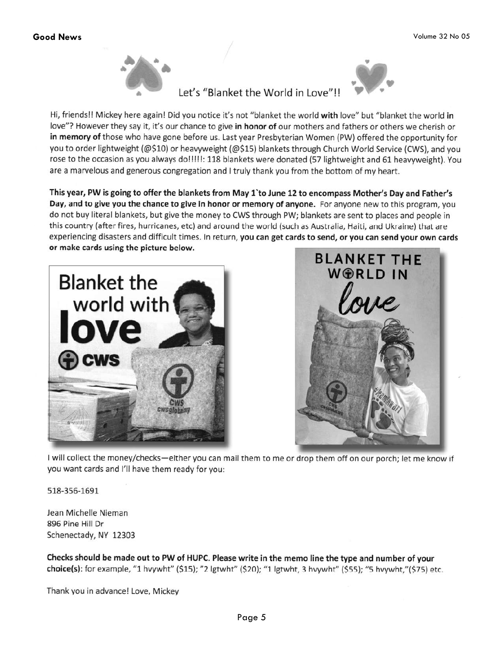

#### Let's "Blanket the World in Love"!!



Hi, friends!! Mickey here again! Did you notice it's not "blanket the world with love" but "blanket the world in love"? However they say it, it's our chance to give in honor of our mothers and fathers or others we cherish or in memory of those who have gone before us. Last year Presbyterian Women (PW) offered the opportunity for you to order lightweight (@\$10) or heavyweight (@\$15) blankets through Church World Service (CWS), and you rose to the occasion as you always do!!!!!: 118 blankets were donated (57 lightweight and 61 heavyweight). You are a marvelous and generous congregation and I truly thank you from the bottom of my heart.

This year, PW is going to offer the blankets from May 1'to June 12 to encompass Mother's Day and Father's Day, and to give you the chance to give in honor or memory of anyone. For anyone new to this program, you do not buy literal blankets, but give the money to CWS through PW; blankets are sent to places and people in this country (after fires, hurricanes, etc) and around the world (such as Australia, Haiti, and Ukraine) that are experiencing disasters and difficult times. In return, you can get cards to send, or you can send your own cards or make cards using the picture below.





I will collect the money/checks—either you can mail them to me or drop them off on our porch; let me know if you want cards and I'll have them ready for you:

518-356-1691

Jean Michelle Nieman 896 Pine Hill Dr Schenectady, NY 12303

Checks should be made out to PW of HUPC. Please write in the memo line the type and number of your choice(s): for example, "1 hvywht" (\$15); "2 lgtwht" (\$20); "1 lgtwht, 3 hvywht" (\$55); "5 hvywht,"(\$75) etc.

Thank you in advance! Love, Mickey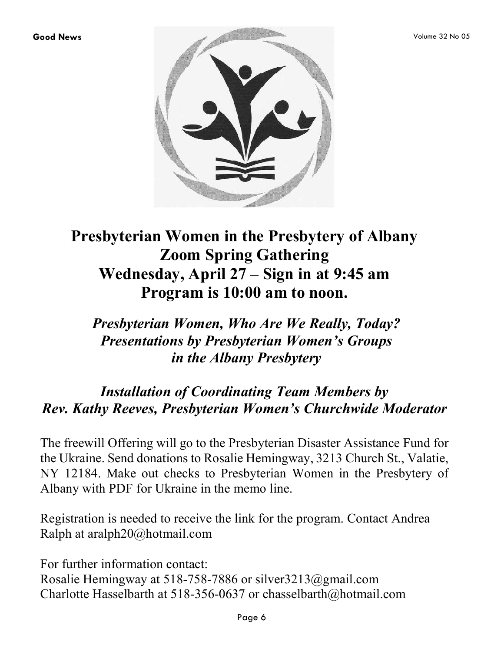

# **Presbyterian Women in the Presbytery of Albany Zoom Spring Gathering Wednesday, April 27 – Sign in at 9:45 am Program is 10:00 am to noon.**

# *Presbyterian Women, Who Are We Really, Today? Presentations by Presbyterian Women's Groups in the Albany Presbytery*

# *Installation of Coordinating Team Members by Rev. Kathy Reeves, Presbyterian Women's Churchwide Moderator*

The freewill Offering will go to the Presbyterian Disaster Assistance Fund for the Ukraine. Send donations to Rosalie Hemingway, 3213 Church St., Valatie, NY 12184. Make out checks to Presbyterian Women in the Presbytery of Albany with PDF for Ukraine in the memo line.

Registration is needed to receive the link for the program. Contact Andrea Ralph at aralph20@hotmail.com

For further information contact: Rosalie Hemingway at 518-758-7886 or silver3213@gmail.com Charlotte Hasselbarth at 518-356-0637 or chasselbarth@hotmail.com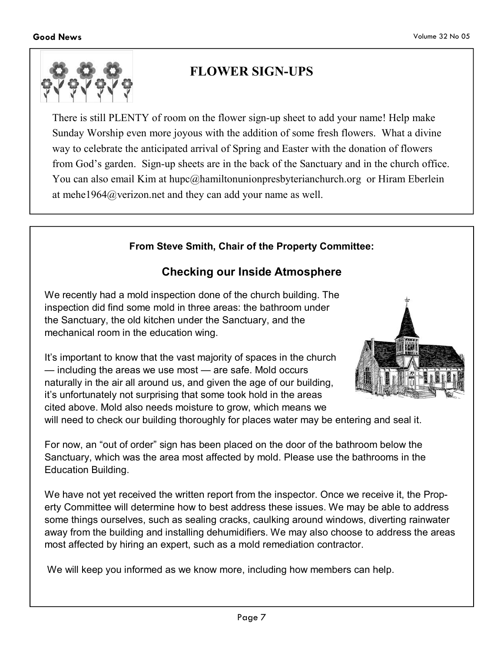

Education Building.

# **FLOWER SIGN-UPS**

There is still PLENTY of room on the flower sign-up sheet to add your name! Help make Sunday Worship even more joyous with the addition of some fresh flowers. What a divine way to celebrate the anticipated arrival of Spring and Easter with the donation of flowers from God's garden. Sign-up sheets are in the back of the Sanctuary and in the church office. You can also email Kim at hupc@hamiltonunionpresbyterianchurch.org or Hiram Eberlein at mehe1964@verizon.net and they can add your name as well.

#### **From Steve Smith, Chair of the Property Committee:**

#### **Checking our Inside Atmosphere**

We recently had a mold inspection done of the church building. The inspection did find some mold in three areas: the bathroom under the Sanctuary, the old kitchen under the Sanctuary, and the mechanical room in the education wing.

It's important to know that the vast majority of spaces in the church — including the areas we use most — are safe. Mold occurs naturally in the air all around us, and given the age of our building, it's unfortunately not surprising that some took hold in the areas cited above. Mold also needs moisture to grow, which means we will need to check our building thoroughly for places water may be entering and seal it.



For now, an "out of order" sign has been placed on the door of the bathroom below the Sanctuary, which was the area most affected by mold. Please use the bathrooms in the

We have not yet received the written report from the inspector. Once we receive it, the Property Committee will determine how to best address these issues. We may be able to address some things ourselves, such as sealing cracks, caulking around windows, diverting rainwater away from the building and installing dehumidifiers. We may also choose to address the areas most affected by hiring an expert, such as a mold remediation contractor.

We will keep you informed as we know more, including how members can help.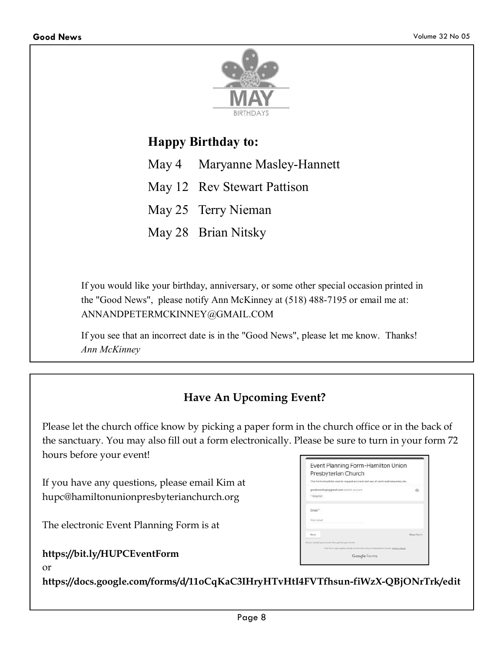

# **Happy Birthday to:**

- May 4 Maryanne Masley-Hannett
- May 12 Rev Stewart Pattison
- May 25 Terry Nieman
- May 28 Brian Nitsky

If you would like your birthday, anniversary, or some other special occasion printed in the "Good News", please notify Ann McKinney at (518) 488-7195 or email me at: ANNANDPETERMCKINNEY@GMAIL.COM

If you see that an incorrect date is in the "Good News", please let me know. Thanks! *Ann McKinney*

# **Have An Upcoming Event?**

Please let the church office know by picking a paper form in the church office or in the back of the sanctuary. You may also fill out a form electronically. Please be sure to turn in your form 72 hours before your event!

If you have any questions, please email Kim at hupc@hamiltonunionpresbyterianchurch.org

The electronic Event Planning Form is at

**https://bit.ly/HUPCEventForm** 

| Event Planning Form-Hamilton Union<br>Presbyterian Church<br>This form should be used to request an Eirent and use of room and resources, etc. |                                                                              |
|------------------------------------------------------------------------------------------------------------------------------------------------|------------------------------------------------------------------------------|
|                                                                                                                                                |                                                                              |
| goodnewshupc@gmail.com Switch account<br>bytupsa +                                                                                             |                                                                              |
| Email *                                                                                                                                        |                                                                              |
| Voir amail                                                                                                                                     |                                                                              |
| Newt                                                                                                                                           | Clear form                                                                   |
| forcer pubmit passwords through Geogle Forms.                                                                                                  |                                                                              |
|                                                                                                                                                | The form was assumed inside of Ramcham Union Presidence Church, Report Atoms |
|                                                                                                                                                | Google Forms                                                                 |

or

**https://docs.google.com/forms/d/11oCqKaC3IHryHTvHtI4FVTfhsun-fiWzX-QBjONrTrk/edit**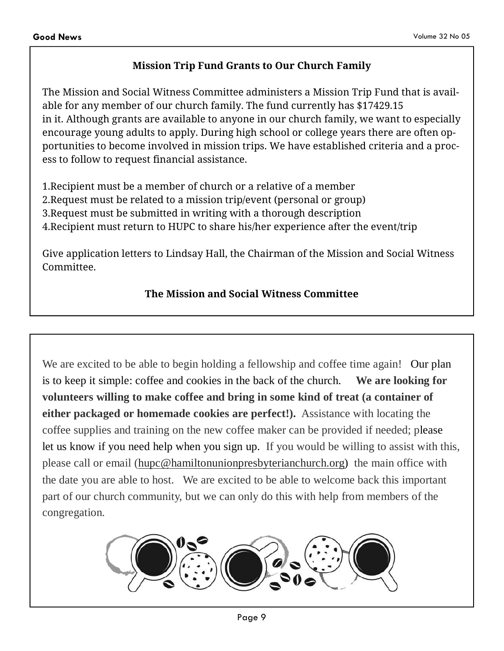#### **Mission Trip Fund Grants to Our Church Family**

The Mission and Social Witness Committee administers a Mission Trip Fund that is available for any member of our church family. The fund currently has \$17429.15 in it. Although grants are available to anyone in our church family, we want to especially encourage young adults to apply. During high school or college years there are often opportunities to become involved in mission trips. We have established criteria and a process to follow to request financial assistance.

1.Recipient must be a member of church or a relative of a member 2.Request must be related to a mission trip/event (personal or group) 3.Request must be submitted in writing with a thorough description 4.Recipient must return to HUPC to share his/her experience after the event/trip

Give application letters to Lindsay Hall, the Chairman of the Mission and Social Witness Committee.

#### **The Mission and Social Witness Committee**

We are excited to be able to begin holding a fellowship and coffee time again! Our plan is to keep it simple: coffee and cookies in the back of the church. **We are looking for volunteers willing to make coffee and bring in some kind of treat (a container of either packaged or homemade cookies are perfect!).** Assistance with locating the coffee supplies and training on the new coffee maker can be provided if needed; please let us know if you need help when you sign up. If you would be willing to assist with this, please call or email (hupc@hamiltonunionpresbyterianchurch.org) the main office with the date you are able to host. We are excited to be able to welcome back this important part of our church community, but we can only do this with help from members of the congregation.

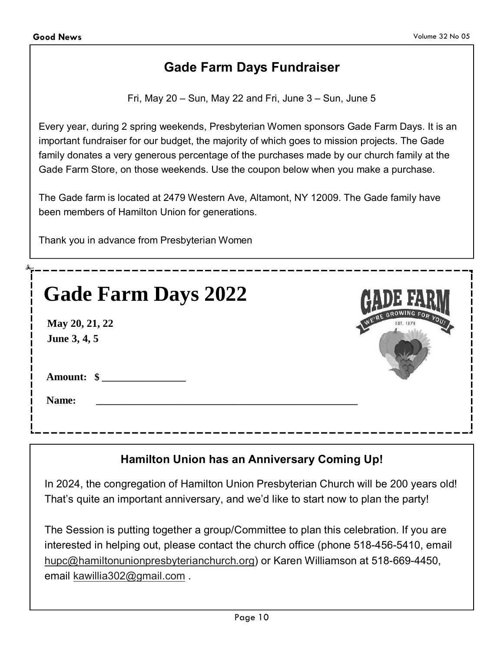# **Gade Farm Days Fundraiser**

Fri, May  $20 - Sun$ , May 22 and Fri, June  $3 - Sun$ , June  $5$ 

Every year, during 2 spring weekends, Presbyterian Women sponsors Gade Farm Days. It is an important fundraiser for our budget, the majority of which goes to mission projects. The Gade family donates a very generous percentage of the purchases made by our church family at the Gade Farm Store, on those weekends. Use the coupon below when you make a purchase.

The Gade farm is located at 2479 Western Ave, Altamont, NY 12009. The Gade family have been members of Hamilton Union for generations.

Thank you in advance from Presbyterian Women

| <b>Gade Farm Days 2022</b>     |                       |
|--------------------------------|-----------------------|
| May 20, 21, 22<br>June 3, 4, 5 | WE'RE GROWING FOR YOU |
| Amount: \$<br>Name:            |                       |
|                                |                       |

## **Hamilton Union has an Anniversary Coming Up!**

In 2024, the congregation of Hamilton Union Presbyterian Church will be 200 years old! That's quite an important anniversary, and we'd like to start now to plan the party!

The Session is putting together a group/Committee to plan this celebration. If you are interested in helping out, please contact the church office (phone 518-456-5410, email hupc@hamiltonunionpresbyterianchurch.org) or Karen Williamson at 518-669-4450, email kawillia302@gmail.com .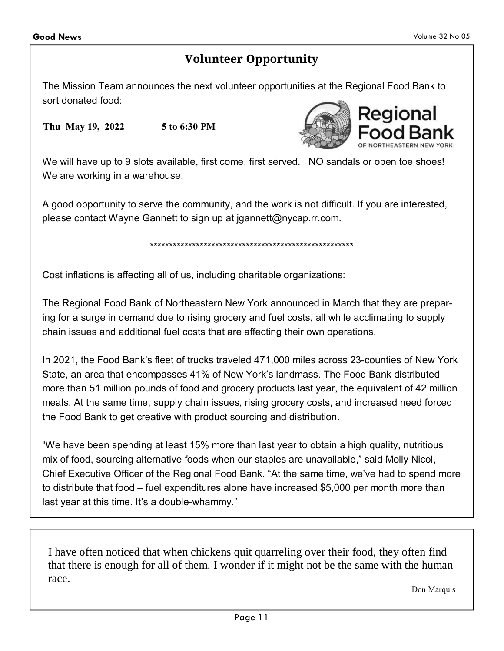# **Volunteer Opportunity**

The Mission Team announces the next volunteer opportunities at the Regional Food Bank to sort donated food:

**Thu May 19, 2022 5 to 6:30 PM** 



We will have up to 9 slots available, first come, first served. NO sandals or open toe shoes! We are working in a warehouse.

A good opportunity to serve the community, and the work is not difficult. If you are interested, please contact Wayne Gannett to sign up at jgannett@nycap.rr.com.

\*\*\*\*\*\*\*\*\*\*\*\*\*\*\*\*\*\*\*\*\*\*\*\*\*\*\*\*\*\*\*\*\*\*\*\*\*\*\*\*\*\*\*\*\*\*\*\*\*\*\*\*\*

Cost inflations is affecting all of us, including charitable organizations:

The Regional Food Bank of Northeastern New York announced in March that they are preparing for a surge in demand due to rising grocery and fuel costs, all while acclimating to supply chain issues and additional fuel costs that are affecting their own operations.

In 2021, the Food Bank's fleet of trucks traveled 471,000 miles across 23-counties of New York State, an area that encompasses 41% of New York's landmass. The Food Bank distributed more than 51 million pounds of food and grocery products last year, the equivalent of 42 million meals. At the same time, supply chain issues, rising grocery costs, and increased need forced the Food Bank to get creative with product sourcing and distribution.

"We have been spending at least 15% more than last year to obtain a high quality, nutritious mix of food, sourcing alternative foods when our staples are unavailable," said Molly Nicol, Chief Executive Officer of the Regional Food Bank. "At the same time, we've had to spend more to distribute that food – fuel expenditures alone have increased \$5,000 per month more than last year at this time. It's a double-whammy."

I have often noticed that when chickens quit quarreling over their food, they often find that there is enough for all of them. I wonder if it might not be the same with the human race.

—Don Marquis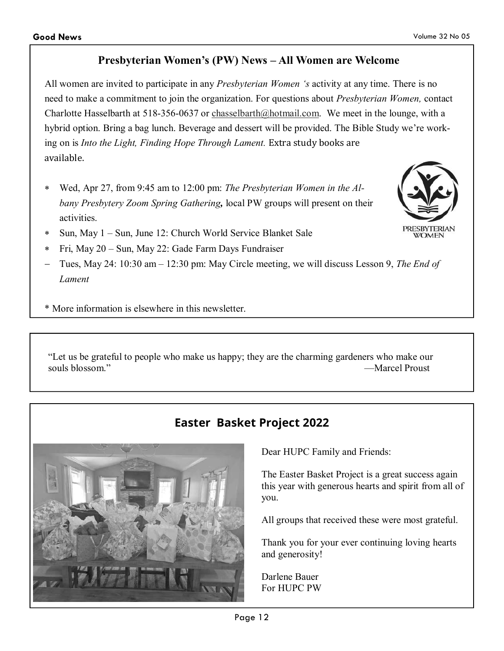#### **Presbyterian Women's (PW) News – All Women are Welcome**

All women are invited to participate in any *Presbyterian Women 's* activity at any time. There is no need to make a commitment to join the organization. For questions about *Presbyterian Women,* contact Charlotte Hasselbarth at 518-356-0637 or chasselbarth@hotmail.com. We meet in the lounge, with a hybrid option. Bring a bag lunch. Beverage and dessert will be provided. The Bible Study we're working on is *Into the Light, Finding Hope Through Lament.* Extra study books are available.

- Wed, Apr 27, from 9:45 am to 12:00 pm: *The Presbyterian Women in the Albany Presbytery Zoom Spring Gathering,* local PW groups will present on their activities.
- ∗ Sun, May 1 Sun, June 12: Church World Service Blanket Sale
- ∗ Fri, May 20 Sun, May 22: Gade Farm Days Fundraiser
- − Tues, May 24: 10:30 am 12:30 pm: May Circle meeting, we will discuss Lesson 9, *The End of Lament*
- \* More information is elsewhere in this newsletter.

"Let us be grateful to people who make us happy; they are the charming gardeners who make our souls blossom." —Marcel Proust

# **Easter Basket Project 2022**

Dear HUPC Family and Friends:

The Easter Basket Project is a great success again this year with generous hearts and spirit from all of you.

All groups that received these were most grateful.

Thank you for your ever continuing loving hearts and generosity!

Darlene Bauer For HUPC PW



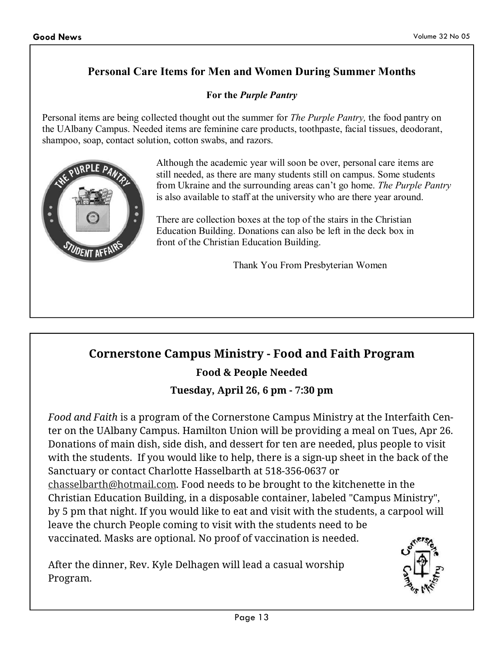### **Personal Care Items for Men and Women During Summer Months**

#### **For the** *Purple Pantry*

Personal items are being collected thought out the summer for *The Purple Pantry,* the food pantry on the UAlbany Campus. Needed items are feminine care products, toothpaste, facial tissues, deodorant, shampoo, soap, contact solution, cotton swabs, and razors.



Although the academic year will soon be over, personal care items are still needed, as there are many students still on campus. Some students from Ukraine and the surrounding areas can't go home. *The Purple Pantry* is also available to staff at the university who are there year around.

There are collection boxes at the top of the stairs in the Christian Education Building. Donations can also be left in the deck box in front of the Christian Education Building.

Thank You From Presbyterian Women

# **Cornerstone Campus Ministry - Food and Faith Program**

**Food & People Needed**

#### **Tuesday, April 26, 6 pm - 7:30 pm**

*Food and Faith* is a program of the Cornerstone Campus Ministry at the Interfaith Center on the UAlbany Campus. Hamilton Union will be providing a meal on Tues, Apr 26. Donations of main dish, side dish, and dessert for ten are needed, plus people to visit with the students. If you would like to help, there is a sign-up sheet in the back of the Sanctuary or contact Charlotte Hasselbarth at 518-356-0637 or chasselbarth@hotmail.com. Food needs to be brought to the kitchenette in the Christian Education Building, in a disposable container, labeled "Campus Ministry", by 5 pm that night. If you would like to eat and visit with the students, a carpool will leave the church People coming to visit with the students need to be vaccinated. Masks are optional. No proof of vaccination is needed.

After the dinner, Rev. Kyle Delhagen will lead a casual worship Program.

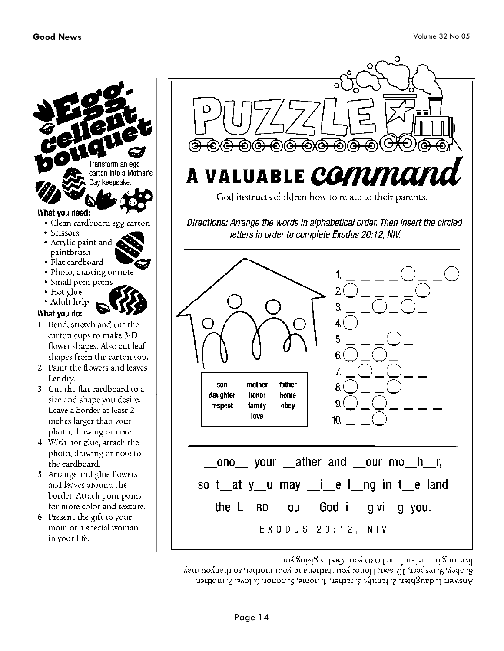

Ω A VALUABLE COMMA

Directions: Arrange the words in alphabetical order. Then insert the circled letters in order to complete Exodus 20:12, NIV.



por Jong in the land the LORD your God is giving you.

8. obey, 9. respect, 10. son; Honor your father and your mother, so that you may Answer: L daughter, 2. family, 3. father, 4. home, 5. honor, 6. love, 7. mother,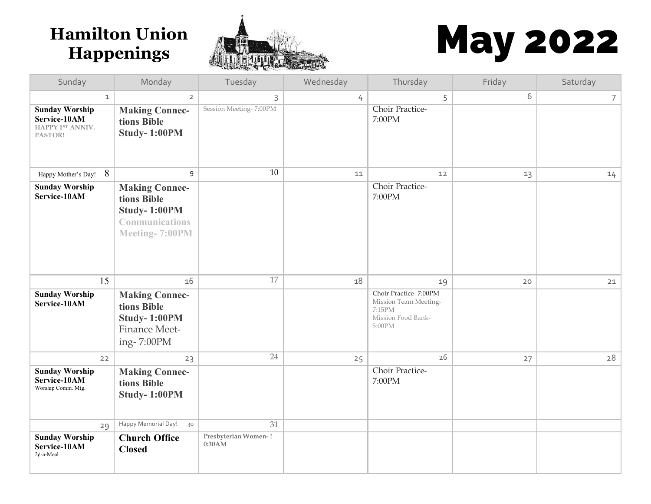

# **Hamilton Union And All May 2022**

| Sunday                                                               | Monday                                                                                                        | Tuesday                        | Wednesday | Thursday                                                                                 | Friday | Saturday       |
|----------------------------------------------------------------------|---------------------------------------------------------------------------------------------------------------|--------------------------------|-----------|------------------------------------------------------------------------------------------|--------|----------------|
| $\mathbf{1}$                                                         | $\overline{2}$                                                                                                | 3                              | 4         | 5                                                                                        | 6      | 7 <sup>1</sup> |
| <b>Sunday Worship</b><br>Service-10AM<br>HAPPY 1ST ANNIV.<br>PASTOR! | <b>Making Connec-</b><br>tions Bible<br>Study-1:00PM                                                          | Session Meeting-7:00PM         |           | Choir Practice-<br>7:00PM                                                                |        |                |
| 8<br>Happy Mother's Day!                                             | 9                                                                                                             | $10\,$                         | 11        | 12                                                                                       | 13     | 14             |
| <b>Sunday Worship</b><br>Service-10AM                                | <b>Making Connec-</b><br>tions Bible<br><b>Study-1:00PM</b><br><b>Communications</b><br><b>Meeting-7:00PM</b> |                                |           | Choir Practice-<br>7:00PM                                                                |        |                |
| 15                                                                   | 16                                                                                                            | 17                             | 18        | 19                                                                                       | 20     | 21             |
| <b>Sunday Worship</b><br>Service-10AM                                | <b>Making Connec-</b><br>tions Bible<br>Study-1:00PM<br>Finance Meet-<br>ing-7:00PM                           |                                |           | Choir Practice-7:00PM<br>Mission Team Meeting-<br>7:15PM<br>Mission Food Bank-<br>5:00PM |        |                |
| 22                                                                   | 23                                                                                                            | 24                             | 25        | 26                                                                                       | 27     | 28             |
| <b>Sunday Worship</b><br>Service-10AM<br>Worship Comm. Mtg.          | <b>Making Connec-</b><br>tions Bible<br>Study-1:00PM                                                          |                                |           | Choir Practice-<br>7:00PM                                                                |        |                |
| 29                                                                   | Happy Memorial Day!<br>30                                                                                     | 31                             |           |                                                                                          |        |                |
| <b>Sunday Worship</b><br>Service-10AM<br>$2¢$ -a-Meal                | <b>Church Office</b><br><b>Closed</b>                                                                         | Presbyterian Women-!<br>0:30AM |           |                                                                                          |        |                |